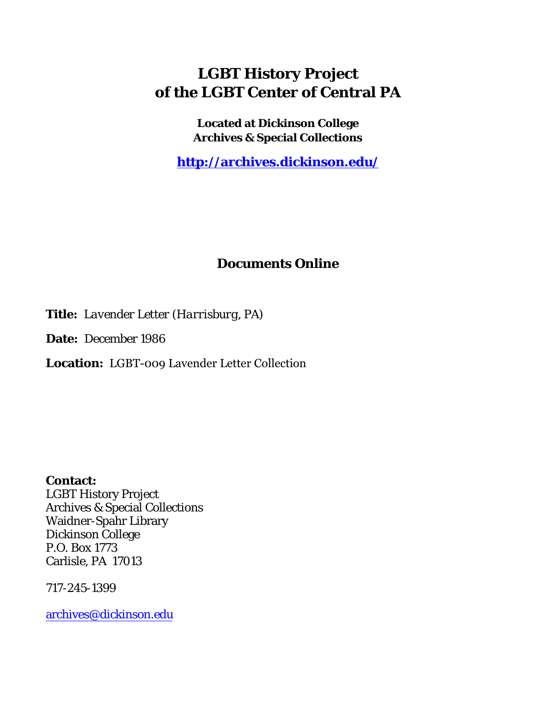## **LGBT History Project of the LGBT Center of Central PA**

**Located at Dickinson College Archives & Special Collections**

**<http://archives.dickinson.edu/>**

## **Documents Online**

**Title:** *Lavender Letter (Harrisburg, PA)*

**Date:** December 1986

**Location:** LGBT-009 Lavender Letter Collection

**Contact:**  LGBT History Project Archives & Special Collections Waidner-Spahr Library Dickinson College P.O. Box 1773 Carlisle, PA 17013

717-245-1399

[archives@dickinson.edu](mailto:archives@dickinson.edu)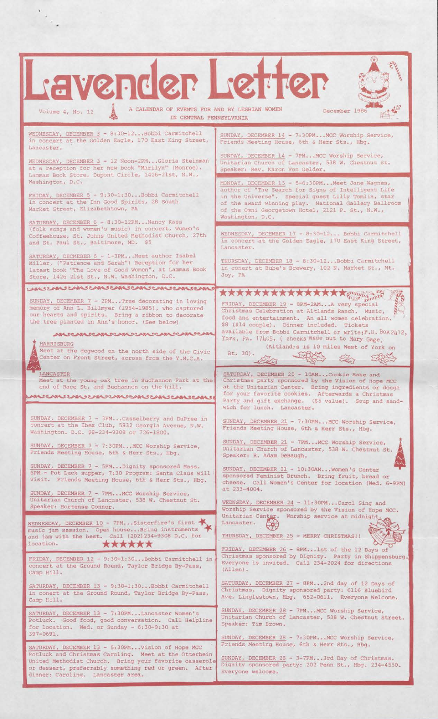| L'avender L'etter<br>A CALENDAR OF EVENTS FOR AND BY LESBIAN WOMEN<br>December 198<br>Volume 4, No. 12<br>IN CENTRAL PENNSYLVANIA                                                                                                                       |                                                                                                                                                                                                                                                                                                      |
|---------------------------------------------------------------------------------------------------------------------------------------------------------------------------------------------------------------------------------------------------------|------------------------------------------------------------------------------------------------------------------------------------------------------------------------------------------------------------------------------------------------------------------------------------------------------|
|                                                                                                                                                                                                                                                         |                                                                                                                                                                                                                                                                                                      |
| WEDNESDAY. DECEMBER 3 - 8:30-12 Bobbi Carmitchell<br>in concert at the Golden Eagle, 170 East King Street,<br>Lancaster.<br>WEDNESDAY, DECEMBER 3 - 12 Noon-2PMGloria Steinman<br>at a reception for her new book "Marilyn" (Monroe).                   | SUNDAY, DECEMBER 14 - 7:30PMMCC Worship Service,<br>Friends Meeting House, 6th & Herr Sts., Hbg.<br>SUNDAY, DECEMBER 14 - 7PMMCC Worship Service,<br>Unitarian Church of Lancaster, 538 W. Chestnut St.<br>Speaker: Rev. Karon Von Gelder.                                                           |
| Lammas Book Store, Dupont Circle, 1426-21st, N.W.,                                                                                                                                                                                                      |                                                                                                                                                                                                                                                                                                      |
| Washington, D.C.<br>FRIDAY, DECEMBER 5 - 9:30-1:30Bobbi Carmitchell<br>in concert at the Inn Good Spirits, 28 South<br>Market Street, Elizabethtown, PA                                                                                                 | MONDAY, DECEMBER 15 - 5-6:30PMMeet Jane Wagnes,<br>author of "The Search for Signs of Intelligent Life"<br>in the Universe". Special quest Lilly Tomlin, star<br>of the award winning play. National Gallery Ballroom<br>of the Omni Georgetown Hotel, 2121 P. St., N.W.,<br>Washington, D.C.        |
| SATURDAY, DECEMBER 6 - 8:30-12PM Nancy Kass<br>(folk songs and women's music) in concert, Women's<br>Coffeehouse, St. Johns United Methodist Church, 27th<br>and St. Paul St., Baltimore, MD. \$5                                                       | WEDNESDAY, DECEMBER 17 - 8:30-12 Bobbi Carmitchell<br>in concert at the Golden Eagle, 170 East King Street,<br>Lancaster.                                                                                                                                                                            |
| SATURDAY, DECMEBER 6 - 1-3PMMeet author Isabel<br>Miller, ("Patience and Sarah") Reception for her<br>latest book "The Love of Good Women", at Lammas Book<br>Store, 1426 21st St., N.W. Washington, D.C.                                               | THURSDAY, DECEMBER 18 - 8:30-12 Bobbi Carmitchell<br>in conert at Bube's Brewery, 102 N. Market St., Mt.<br>Joy, PA                                                                                                                                                                                  |
| ANDE ANDERSCHALTER SERVER SERVER SERVER                                                                                                                                                                                                                 | <b>****************</b> ***                                                                                                                                                                                                                                                                          |
| SUNDAY, DECEMBER 7 - 2PMTree decorating in loving<br>memory of Ann L. Billmyer (1954-1985), who captured<br>our hearts and spirits. Bring a ribbon to decorate<br>the tree planted in Ann's honor. (See below)<br>AM JEAN JEAN JEAN JEAN JEAN JEAN JEAN | FRIDAY, DECEMBER 19 - 8PM-2AMA very special<br>Christmas Celebration at Altlands Ranch. Music,<br>food and entertainment. An all women celebration.<br>\$8 (\$14 couple). Dinner included. Tickets<br>available from Bobbi Carmitchell or write: P.O. Box 2412.                                      |
| <b>HARRISBURG</b><br>Meet at the dogwood on the north side of the Civic<br>Center on Front Street, across from the Y.M.C.A.                                                                                                                             | York, Pa. 17405. ( checks made out to Mary Gage)<br>(Altland; s is 10 miles West of York on<br>Rt. 30).                                                                                                                                                                                              |
| LANCASTER<br>Meet at the young oak tree in Buchannon Park at the<br>end of Race St. and Buchannon on the hill.<br>LANDCAMOCAMOCAMOCAMOCAMOCAMOCAMO                                                                                                      | SATURDAY, DECEMBER 20 - 10AMCookie Bake and<br>Christmas party sponsored by the Vision of Hope MCC<br>at the Unitarian Center. Bring ingredients or dough<br>for your favorite cookies. Afterwards a Christmas<br>Party and gift exchange. (\$5 value). Soup and sand-<br>wich for lunch. Lancaster. |
| SUNDAY, DECEMBER 7 - 3PMCasselberry and DuPree in<br>concert at the Ibex Club, 5832 Georgia Avenue, N.W.<br>Washington. D.C. \$8-234-9308 or 726-1800.                                                                                                  | SUNDAY, DECEMBER 21 - 7:30PMMCC Worship Service,<br>Friends Meeting House, 6th & Herr Sts., Hbg.                                                                                                                                                                                                     |
| SUNDAY, DECEMBER 7 - 7:30PM MCC Worship Service,<br>Friends Meeting House, 6th & Herr Sts., Hbg.                                                                                                                                                        | SUNDAY, DECEMBER 21 - 7PMMCC Worship Service,<br>Unitarian Church of Lancaster, 538 W. Chestnut St.<br>Speaker: R. Adam DeBaugh.                                                                                                                                                                     |
| SUNDAY, DECEMBER 7 - 5PMDignity sponsored Mass.<br>6PM - Pot Luck supper, 7:30 Program: Santa Claus will<br>visit. Friends Meeting House, 6th & Herr Sts., Hbg.                                                                                         | SUNDAY, DECEMBER 21 - 10:30AM Women's Center<br>sponsored Feminist Brunch. Bring fruit, bread or<br>cheese. Call Women's Center for location (Wed. 6-9PM)<br>at 233-4004.                                                                                                                            |
| SUNDAY, DECEMBER 7 - 7PMMCC Worship Service,<br>Unitarian Church of Lancaster, 538 W. Chestnut St.<br>Speaker: Hortense Connor.                                                                                                                         | WEDNSDAY, DECEMBER 24 - 11:30PMCarol Sing and<br>Worship Service sponsored by the Vision of Hope MCC.<br>Unitarian Center. Worship service at midnight.                                                                                                                                              |
| WEDNESDAY, DECEMBER 10 - 7PMSisterfire's first<br>music jam session. Open houseBring instruments<br>and jam with the best. Call (202)234-9308 D.C. for<br>location.<br>******                                                                           | Lancaster.<br>THURSDAY, DECEMBER 25 - MERRY CHRISTMAS!!<br>FRIDAY, DECEMBER 26 - 8PMlst of the 12 Days of                                                                                                                                                                                            |
| FRIDAY, DECEMBER 12 - 9:30-1:30 Bobbi Carmitchell in<br>concert at the Ground Round, Taylor Bridge By-Pass,<br>Camp Hill.                                                                                                                               | Christmas sponsored by Dignity. Party in Shippensburg.<br>Everyone is invited. Call 234-2024 for directions<br>$(Alllen)$ .                                                                                                                                                                          |
| SATURDAY, DECEMBER 13 - 9:30-1:30 Bobbi Carmitchell<br>in conert at the Ground Round, Taylor Bridge By-Pass,<br>Camp Hill.                                                                                                                              | SATURDAY, DECEMBER 27 - 8PM2nd day of 12 Days of<br>Christmas. Dignity sponsored party: 6116 Bluebird<br>Ave. Linglestown, Hbg. 652-0611. Everyone Welcome.                                                                                                                                          |
| SATURDAY, DECEMBER 13 - 7:30PMLancaster Women's<br>Potluck. Good food, good conversation. Call Helpline<br>for location. Wed. or Sunday - 6:30-9:30 at<br>397-0691.                                                                                     | SUNDAY, DECEMBER 28 - 7PMMCC Worship Service,<br>Unitarian Church of Lancaster, 538 W. Chestnut Street.<br>Speaker: Tim Brown.                                                                                                                                                                       |
| SATURDAY, DECEMBER 13 - 5:30PMVision of Hope MCC                                                                                                                                                                                                        | SUNDAY, DECEMBER 28 - 7:30PMMCC Worship Service,<br>Friends Meeting House, 6th & Herr Sts., Hbg.                                                                                                                                                                                                     |
| Potluck and Christmas Caroling. Meet at the Otterbein<br>United Methodist Church. Bring your favorite casserole<br>or dessert, preferrably something red or green. After<br>dinner: Caroling. Lancaster area.                                           | SUNDAY, DECEMBER 28 - 3-7PM3rd Day of Christmas.<br>Dignity sponsored party: 202 Penn St., Hbg. 234-4550.<br>Everyone welcome.                                                                                                                                                                       |